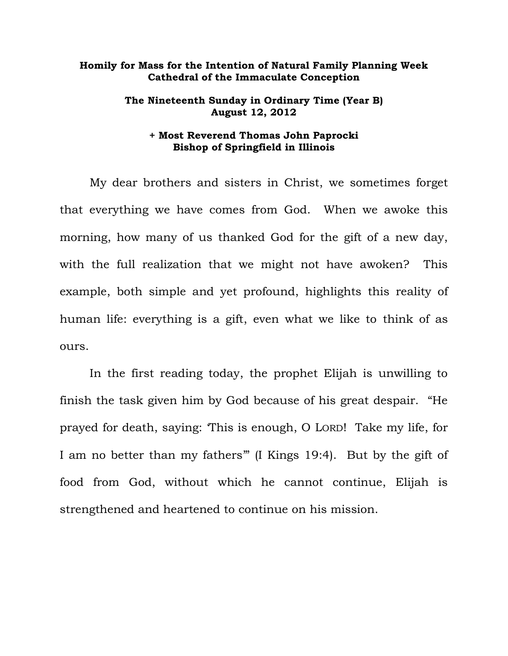## **Homily for Mass for the Intention of Natural Family Planning Week Cathedral of the Immaculate Conception**

## **The Nineteenth Sunday in Ordinary Time (Year B) August 12, 2012**

## **+ Most Reverend Thomas John Paprocki Bishop of Springfield in Illinois**

My dear brothers and sisters in Christ, we sometimes forget that everything we have comes from God. When we awoke this morning, how many of us thanked God for the gift of a new day, with the full realization that we might not have awoken? This example, both simple and yet profound, highlights this reality of human life: everything is a gift, even what we like to think of as ours.

In the first reading today, the prophet Elijah is unwilling to finish the task given him by God because of his great despair. "He prayed for death, saying: 'This is enough, O LORD! Take my life, for I am no better than my fathers'" (I Kings 19:4). But by the gift of food from God, without which he cannot continue, Elijah is strengthened and heartened to continue on his mission.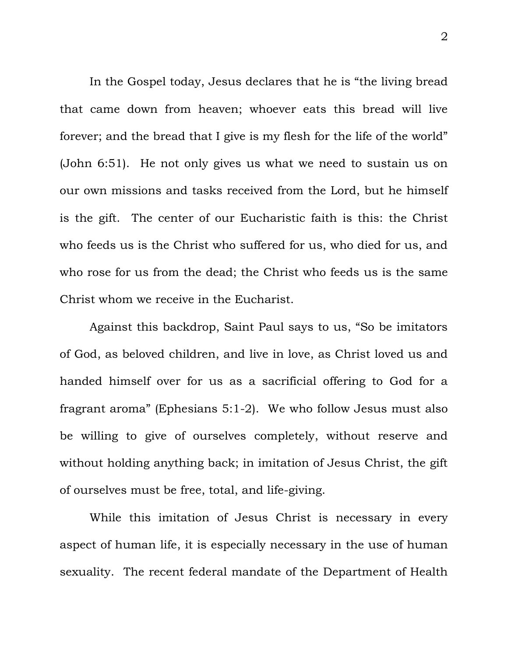In the Gospel today, Jesus declares that he is "the living bread that came down from heaven; whoever eats this bread will live forever; and the bread that I give is my flesh for the life of the world" (John 6:51). He not only gives us what we need to sustain us on our own missions and tasks received from the Lord, but he himself is the gift. The center of our Eucharistic faith is this: the Christ who feeds us is the Christ who suffered for us, who died for us, and who rose for us from the dead; the Christ who feeds us is the same Christ whom we receive in the Eucharist.

Against this backdrop, Saint Paul says to us, "So be imitators of God, as beloved children, and live in love, as Christ loved us and handed himself over for us as a sacrificial offering to God for a fragrant aroma" (Ephesians 5:1-2). We who follow Jesus must also be willing to give of ourselves completely, without reserve and without holding anything back; in imitation of Jesus Christ, the gift of ourselves must be free, total, and life-giving.

While this imitation of Jesus Christ is necessary in every aspect of human life, it is especially necessary in the use of human sexuality. The recent federal mandate of the Department of Health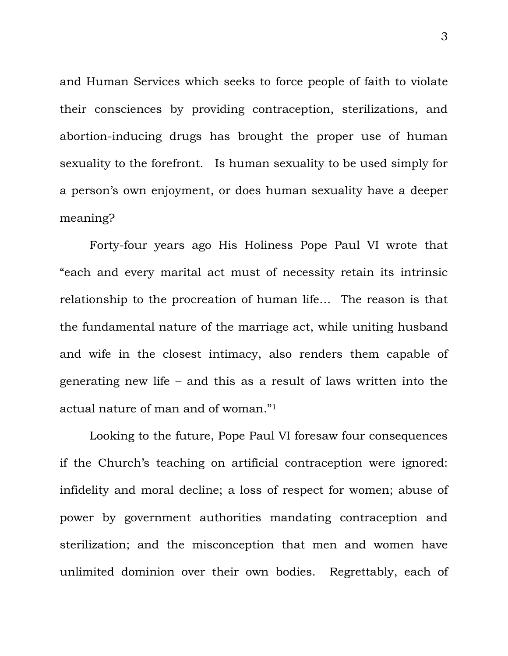and Human Services which seeks to force people of faith to violate their consciences by providing contraception, sterilizations, and abortion-inducing drugs has brought the proper use of human sexuality to the forefront. Is human sexuality to be used simply for a person's own enjoyment, or does human sexuality have a deeper meaning?

Forty-four years ago His Holiness Pope Paul VI wrote that "each and every marital act must of necessity retain its intrinsic relationship to the procreation of human life… The reason is that the fundamental nature of the marriage act, while uniting husband and wife in the closest intimacy, also renders them capable of generating new life – and this as a result of laws written into the actual nature of man and of woman."<sup>1</sup>

Looking to the future, Pope Paul VI foresaw four consequences if the Church's teaching on artificial contraception were ignored: infidelity and moral decline; a loss of respect for women; abuse of power by government authorities mandating contraception and sterilization; and the misconception that men and women have unlimited dominion over their own bodies. Regrettably, each of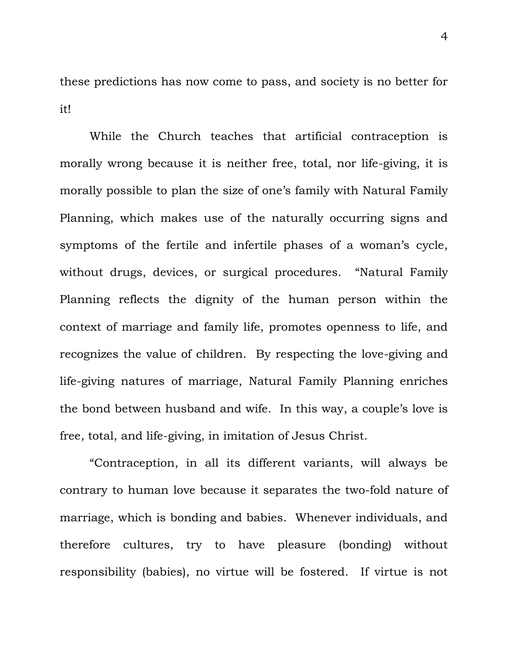these predictions has now come to pass, and society is no better for it!

While the Church teaches that artificial contraception is morally wrong because it is neither free, total, nor life-giving, it is morally possible to plan the size of one's family with Natural Family Planning, which makes use of the naturally occurring signs and symptoms of the fertile and infertile phases of a woman's cycle, without drugs, devices, or surgical procedures. "Natural Family Planning reflects the dignity of the human person within the context of marriage and family life, promotes openness to life, and recognizes the value of children. By respecting the love-giving and life-giving natures of marriage, Natural Family Planning enriches the bond between husband and wife. In this way, a couple's love is free, total, and life-giving, in imitation of Jesus Christ.

"Contraception, in all its different variants, will always be contrary to human love because it separates the two-fold nature of marriage, which is bonding and babies. Whenever individuals, and therefore cultures, try to have pleasure (bonding) without responsibility (babies), no virtue will be fostered. If virtue is not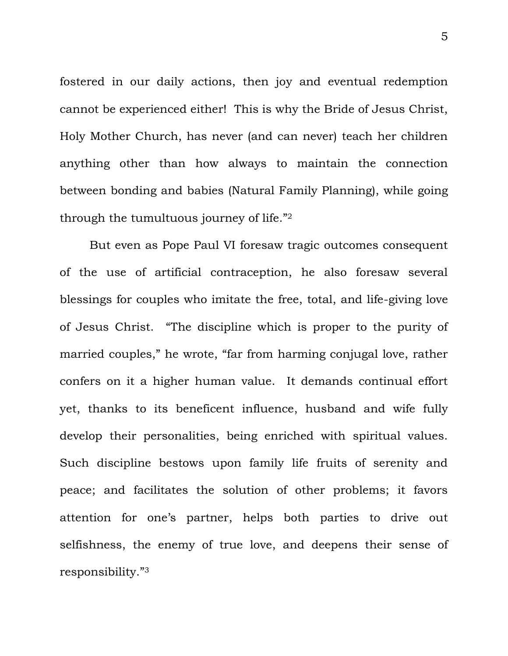fostered in our daily actions, then joy and eventual redemption cannot be experienced either! This is why the Bride of Jesus Christ, Holy Mother Church, has never (and can never) teach her children anything other than how always to maintain the connection between bonding and babies (Natural Family Planning), while going through the tumultuous journey of life."<sup>2</sup>

But even as Pope Paul VI foresaw tragic outcomes consequent of the use of artificial contraception, he also foresaw several blessings for couples who imitate the free, total, and life-giving love of Jesus Christ. "The discipline which is proper to the purity of married couples," he wrote, "far from harming conjugal love, rather confers on it a higher human value. It demands continual effort yet, thanks to its beneficent influence, husband and wife fully develop their personalities, being enriched with spiritual values. Such discipline bestows upon family life fruits of serenity and peace; and facilitates the solution of other problems; it favors attention for one's partner, helps both parties to drive out selfishness, the enemy of true love, and deepens their sense of responsibility."3